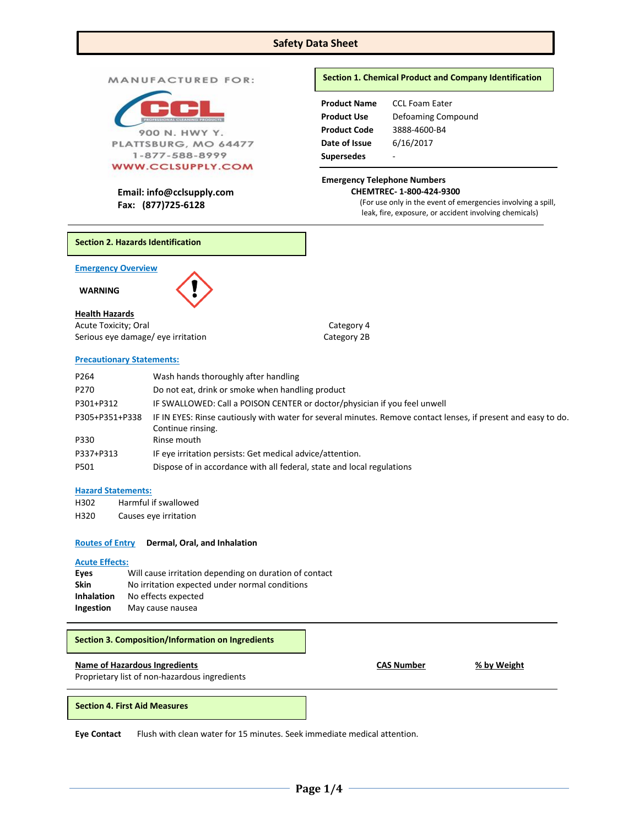## **Safety Data Sheet**

## MANUFACTURED FOR:



 **CHEMTREC- 1-800-424-9300 Email: info@cclsupply.com Fax: (877)725-6128**

## **Section 1. Chemical Product and Company Identification**

| <b>Product Name</b> | <b>CCL Foam Eater</b> |
|---------------------|-----------------------|
| <b>Product Use</b>  | Defoaming Compound    |
| <b>Product Code</b> | 3888-4600-B4          |
| Date of Issue       | 6/16/2017             |
| <b>Supersedes</b>   |                       |
|                     |                       |

## **Emergency Telephone Numbers**

(For use only in the event of emergencies involving a spill, leak, fire, exposure, or accident involving chemicals)

**Section 2. Hazards Identification**

**Emergency Overview** 

 **WARNING** 



## **Health Hazards**

Acute Toxicity; Oral Category 4 Serious eye damage/ eye irritation Category 2B

## **Precautionary Statements:**

P264 Wash hands thoroughly after handling P270 Do not eat, drink or smoke when handling product P301+P312 IF SWALLOWED: Call a POISON CENTER or doctor/physician if you feel unwell P305+P351+P338 IF IN EYES: Rinse cautiously with water for several minutes. Remove contact lenses, if present and easy to do. Continue rinsing. P330 Rinse mouth P337+P313 IF eye irritation persists: Get medical advice/attention. P501 Dispose of in accordance with all federal, state and local regulations

## **Hazard Statements:**

| H302 | Harmful if swallowed  |
|------|-----------------------|
| ലാററ | Coucas ova irritation |

H320 Causes eye irritation

## **Routes of Entry Dermal, Oral, and Inhalation**

## **Acute Effects:**

| Eyes              | Will cause irritation depending on duration of contact |
|-------------------|--------------------------------------------------------|
| <b>Skin</b>       | No irritation expected under normal conditions         |
| <b>Inhalation</b> | No effects expected                                    |
| Ingestion         | May cause nausea                                       |

# **Name of Hazardous Ingredients CAS Number % by Weight** Proprietary list of non-hazardous ingredients **Section 3. Composition/Information on Ingredients**

## **Section 4. First Aid Measures**

**Eye Contact** Flush with clean water for 15 minutes. Seek immediate medical attention.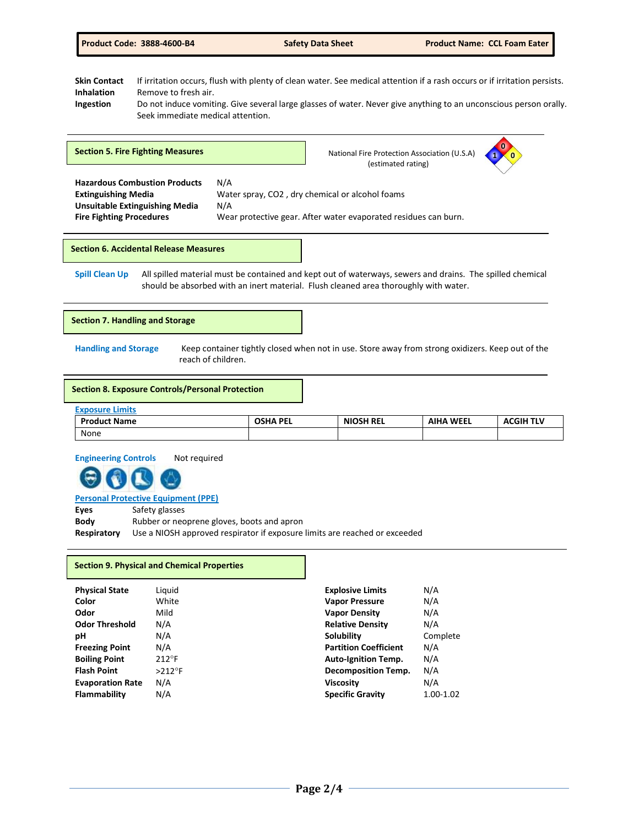|  |  | <b>Product Code: 3888-4600-B4</b> |  |  |  |
|--|--|-----------------------------------|--|--|--|
|  |  |                                   |  |  |  |

**1 0 0**

**Skin Contact** If irritation occurs, flush with plenty of clean water. See medical attention if a rash occurs or if irritation persists. **Inhalation** Remove to fresh air. **Ingestion** Do not induce vomiting. Give several large glasses of water. Never give anything to an unconscious person orally. Seek immediate medical attention.

 **Hazardous Combustion Products** N/A **Extinguishing Media** Water spray, CO2 , dry chemical or alcohol foams **Unsuitable Extinguishing Media** N/A **Fire Fighting Procedures** Wear protective gear. After water evaporated residues can burn. **Section 5. Fire Fighting Measures National Fire Protection Association (U.S.A) National Fire Protection Association (U.S.A)** (estimated rating)

**Section 6. Accidental Release Measures**

**Spill Clean Up** All spilled material must be contained and kept out of waterways, sewers and drains. The spilled chemical should be absorbed with an inert material. Flush cleaned area thoroughly with water.

## **Section 7. Handling and Storage**

**Handling and Storage** Keep container tightly closed when not in use. Store away from strong oxidizers. Keep out of the reach of children.

#### **Section 8. Exposure Controls/Personal Protection**

| <b>Exposure Limits</b> |                 |                  |                  |                  |
|------------------------|-----------------|------------------|------------------|------------------|
| <b>Product Name</b>    | <b>OSHA PEL</b> | <b>NIOSH REL</b> | <b>AIHA WEEL</b> | <b>ACGIH TLV</b> |
| None                   |                 |                  |                  |                  |

**Engineering Controls** Not required

**Personal Protective Equipment (PPE)**

**Eyes** Safety glasses

**Body** Rubber or neoprene gloves, boots and apron **Respiratory** Use a NIOSH approved respirator if exposure limits are reached or exceeded

#### **Section 9. Physical and Chemical Properties**

| <b>Physical State</b>   | Liguid         | <b>Explosive Limits</b>      | N/A       |
|-------------------------|----------------|------------------------------|-----------|
| Color                   | White          | <b>Vapor Pressure</b>        | N/A       |
| Odor                    | Mild           | <b>Vapor Density</b>         | N/A       |
| <b>Odor Threshold</b>   | N/A            | <b>Relative Density</b>      | N/A       |
| рH                      | N/A            | Solubility                   | Complete  |
| <b>Freezing Point</b>   | N/A            | <b>Partition Coefficient</b> | N/A       |
| <b>Boiling Point</b>    | $212^{\circ}F$ | <b>Auto-Ignition Temp.</b>   | N/A       |
| <b>Flash Point</b>      | $>212$ °F      | <b>Decomposition Temp.</b>   | N/A       |
| <b>Evaporation Rate</b> | N/A            | <b>Viscosity</b>             | N/A       |
| Flammability            | N/A            | <b>Specific Gravity</b>      | 1.00-1.02 |
|                         |                |                              |           |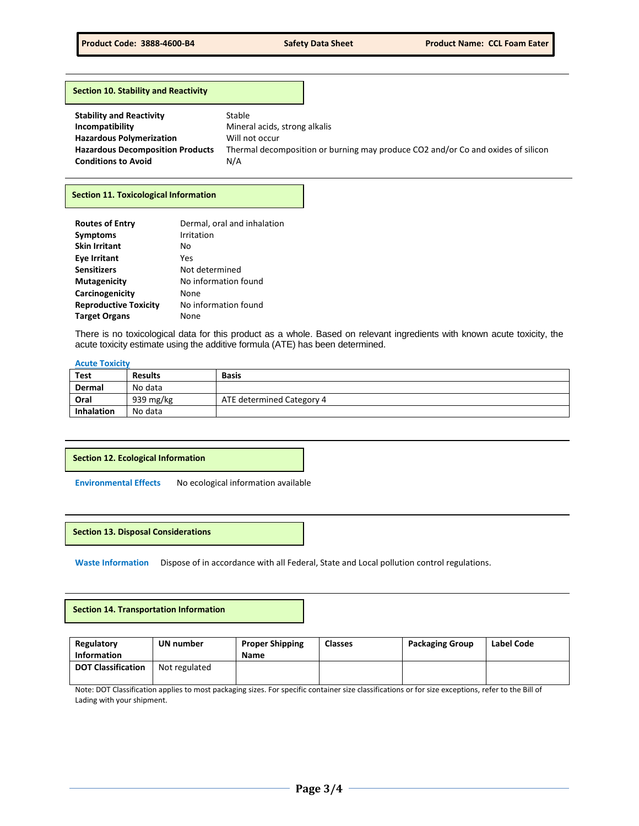#### **Section 10. Stability and Reactivity**

| <b>Stability and Reactivity</b>         | Stable                                                                           |
|-----------------------------------------|----------------------------------------------------------------------------------|
| Incompatibility                         | Mineral acids, strong alkalis                                                    |
| <b>Hazardous Polymerization</b>         | Will not occur                                                                   |
| <b>Hazardous Decomposition Products</b> | Thermal decomposition or burning may produce CO2 and/or Co and oxides of silicon |
| <b>Conditions to Avoid</b>              | N/A                                                                              |

## **Section 11. Toxicological Information**

| <b>Routes of Entry</b>       | Dermal, oral and inhalation |
|------------------------------|-----------------------------|
| <b>Symptoms</b>              | Irritation                  |
| <b>Skin Irritant</b>         | No                          |
| <b>Eye Irritant</b>          | Yes                         |
| <b>Sensitizers</b>           | Not determined              |
| <b>Mutagenicity</b>          | No information found        |
| Carcinogenicity              | None                        |
| <b>Reproductive Toxicity</b> | No information found        |
| <b>Target Organs</b>         | None                        |

There is no toxicological data for this product as a whole. Based on relevant ingredients with known acute toxicity, the acute toxicity estimate using the additive formula (ATE) has been determined.

## **Acute Toxicity**

| <b>Test</b>       | <b>Results</b> | <b>Basis</b>              |
|-------------------|----------------|---------------------------|
| Dermal            | No data        |                           |
| Oral              | 939 mg/ $kg$   | ATE determined Category 4 |
| <b>Inhalation</b> | No data        |                           |

## **Section 12. Ecological Information**

**Environmental Effects** No ecological information available

**Section 13. Disposal Considerations** 

**Waste Information** Dispose of in accordance with all Federal, State and Local pollution control regulations.

## **Section 14. Transportation Information**

| Regulatory<br><b>Information</b> | UN number     | <b>Proper Shipping</b><br>Name | <b>Classes</b> | <b>Packaging Group</b> | Label Code |
|----------------------------------|---------------|--------------------------------|----------------|------------------------|------------|
| <b>DOT Classification</b>        | Not regulated |                                |                |                        |            |

Note: DOT Classification applies to most packaging sizes. For specific container size classifications or for size exceptions, refer to the Bill of Lading with your shipment.